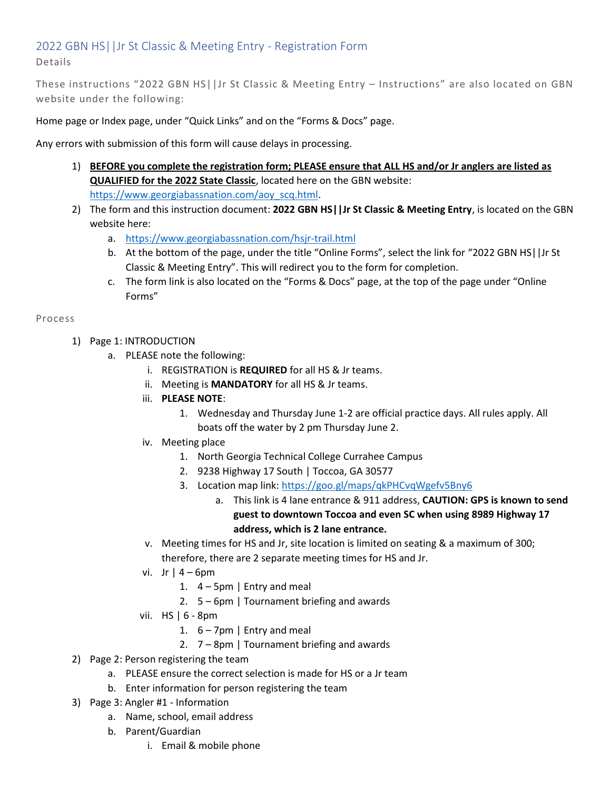## 2022 GBN HS||Jr St Classic & Meeting Entry - Registration Form Details

These instructions "2022 GBN HS||Jr St Classic & Meeting Entry – Instructions" are also located on GBN website under the following:

Home page or Index page, under "Quick Links" and on the "Forms & Docs" page.

Any errors with submission of this form will cause delays in processing.

- 1) **BEFORE you complete the registration form; PLEASE ensure that ALL HS and/or Jr anglers are listed as QUALIFIED for the 2022 State Classic**, located here on the GBN website: [https://www.georgiabassnation.com/aoy\\_scq.html.](https://www.georgiabassnation.com/aoy_scq.html)
- 2) The form and this instruction document: **2022 GBN HS||Jr St Classic & Meeting Entry**, is located on the GBN website here:
	- a. <https://www.georgiabassnation.com/hsjr-trail.html>
	- b. At the bottom of the page, under the title "Online Forms", select the link for "2022 GBN HS||Jr St Classic & Meeting Entry". This will redirect you to the form for completion.
	- c. The form link is also located on the "Forms & Docs" page, at the top of the page under "Online Forms"

Process

- 1) Page 1: INTRODUCTION
	- a. PLEASE note the following:
		- i. REGISTRATION is **REQUIRED** for all HS & Jr teams.
		- ii. Meeting is **MANDATORY** for all HS & Jr teams.
		- iii. **PLEASE NOTE**:
			- 1. Wednesday and Thursday June 1-2 are official practice days. All rules apply. All boats off the water by 2 pm Thursday June 2.
		- iv. Meeting place
			- 1. North Georgia Technical College Currahee Campus
			- 2. 9238 Highway 17 South | Toccoa, GA 30577
			- 3. Location map link:<https://goo.gl/maps/qkPHCvqWgefv5Bny6>
				- a. This link is 4 lane entrance & 911 address, **CAUTION: GPS is known to send guest to downtown Toccoa and even SC when using 8989 Highway 17 address, which is 2 lane entrance.**
		- v. Meeting times for HS and Jr, site location is limited on seating & a maximum of 300; therefore, there are 2 separate meeting times for HS and Jr.
		- vi. Jr | 4 6pm
			- 1.  $4 5$ pm | Entry and meal
			- 2. 5 6pm | Tournament briefing and awards
		- vii. HS | 6 8pm
			- 1.  $6 7$ pm | Entry and meal
			- 2. 7 8pm | Tournament briefing and awards
- 2) Page 2: Person registering the team
	- a. PLEASE ensure the correct selection is made for HS or a Jr team
	- b. Enter information for person registering the team
- 3) Page 3: Angler #1 Information
	- a. Name, school, email address
	- b. Parent/Guardian
		- i. Email & mobile phone